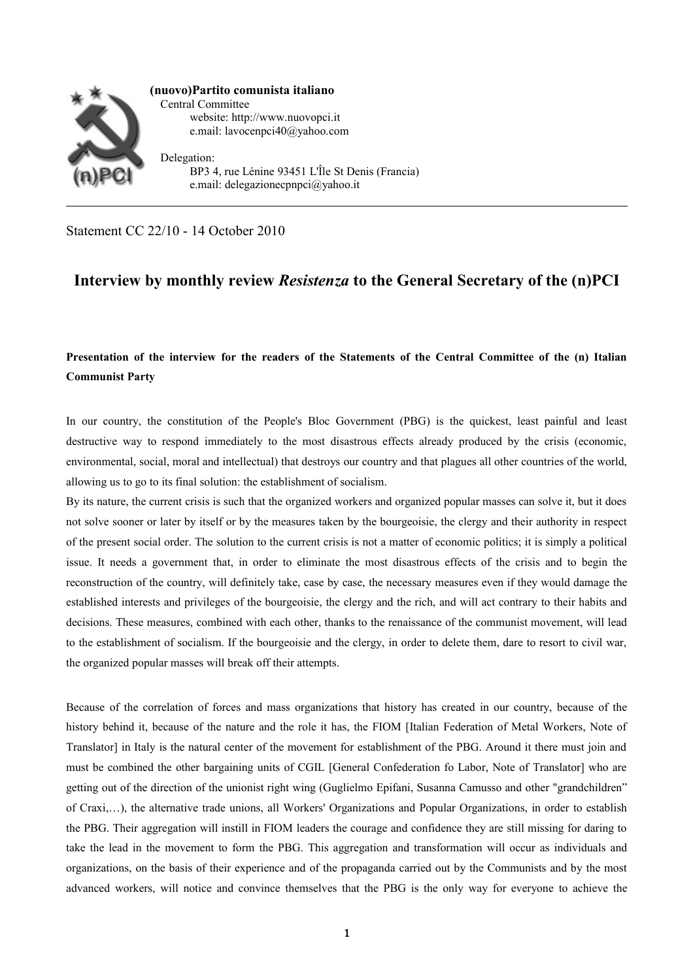

BP3 4, rue Lénine 93451 L'Île St Denis (Francia) e.mail: delegazionecpnpci@yahoo.it

Statement CC 22/10 - 14 October 2010

## **Interview by monthly review** *Resistenza* **to the General Secretary of the (n)PCI**

## **Presentation of the interview for the readers of the Statements of the Central Committee of the (n) Italian Communist Party**

In our country, the constitution of the People's Bloc Government (PBG) is the quickest, least painful and least destructive way to respond immediately to the most disastrous effects already produced by the crisis (economic, environmental, social, moral and intellectual) that destroys our country and that plagues all other countries of the world, allowing us to go to its final solution: the establishment of socialism.

By its nature, the current crisis is such that the organized workers and organized popular masses can solve it, but it does not solve sooner or later by itself or by the measures taken by the bourgeoisie, the clergy and their authority in respect of the present social order. The solution to the current crisis is not a matter of economic politics; it is simply a political issue. It needs a government that, in order to eliminate the most disastrous effects of the crisis and to begin the reconstruction of the country, will definitely take, case by case, the necessary measures even if they would damage the established interests and privileges of the bourgeoisie, the clergy and the rich, and will act contrary to their habits and decisions. These measures, combined with each other, thanks to the renaissance of the communist movement, will lead to the establishment of socialism. If the bourgeoisie and the clergy, in order to delete them, dare to resort to civil war, the organized popular masses will break off their attempts.

Because of the correlation of forces and mass organizations that history has created in our country, because of the history behind it, because of the nature and the role it has, the FIOM [Italian Federation of Metal Workers, Note of Translator] in Italy is the natural center of the movement for establishment of the PBG. Around it there must join and must be combined the other bargaining units of CGIL [General Confederation fo Labor, Note of Translator] who are getting out of the direction of the unionist right wing (Guglielmo Epifani, Susanna Camusso and other "grandchildren" of Craxi,…), the alternative trade unions, all Workers' Organizations and Popular Organizations, in order to establish the PBG. Their aggregation will instill in FIOM leaders the courage and confidence they are still missing for daring to take the lead in the movement to form the PBG. This aggregation and transformation will occur as individuals and organizations, on the basis of their experience and of the propaganda carried out by the Communists and by the most advanced workers, will notice and convince themselves that the PBG is the only way for everyone to achieve the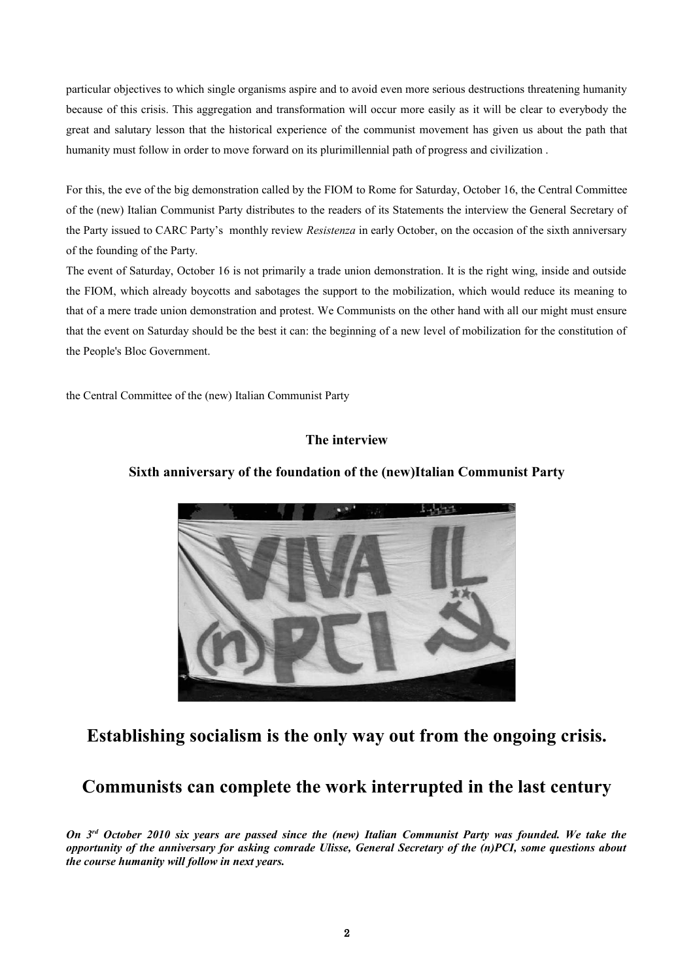particular objectives to which single organisms aspire and to avoid even more serious destructions threatening humanity because of this crisis. This aggregation and transformation will occur more easily as it will be clear to everybody the great and salutary lesson that the historical experience of the communist movement has given us about the path that humanity must follow in order to move forward on its plurimillennial path of progress and civilization .

For this, the eve of the big demonstration called by the FIOM to Rome for Saturday, October 16, the Central Committee of the (new) Italian Communist Party distributes to the readers of its Statements the interview the General Secretary of the Party issued to CARC Party's monthly review *Resistenza* in early October, on the occasion of the sixth anniversary of the founding of the Party.

The event of Saturday, October 16 is not primarily a trade union demonstration. It is the right wing, inside and outside the FIOM, which already boycotts and sabotages the support to the mobilization, which would reduce its meaning to that of a mere trade union demonstration and protest. We Communists on the other hand with all our might must ensure that the event on Saturday should be the best it can: the beginning of a new level of mobilization for the constitution of the People's Bloc Government.

the Central Committee of the (new) Italian Communist Party

### **The interview**



### **Sixth anniversary of the foundation of the (new)Italian Communist Party**

# **Establishing socialism is the only way out from the ongoing crisis.**

# **Communists can complete the work interrupted in the last century**

*On 3rd October 2010 six years are passed since the (new) Italian Communist Party was founded. We take the opportunity of the anniversary for asking comrade Ulisse, General Secretary of the (n)PCI, some questions about the course humanity will follow in next years.*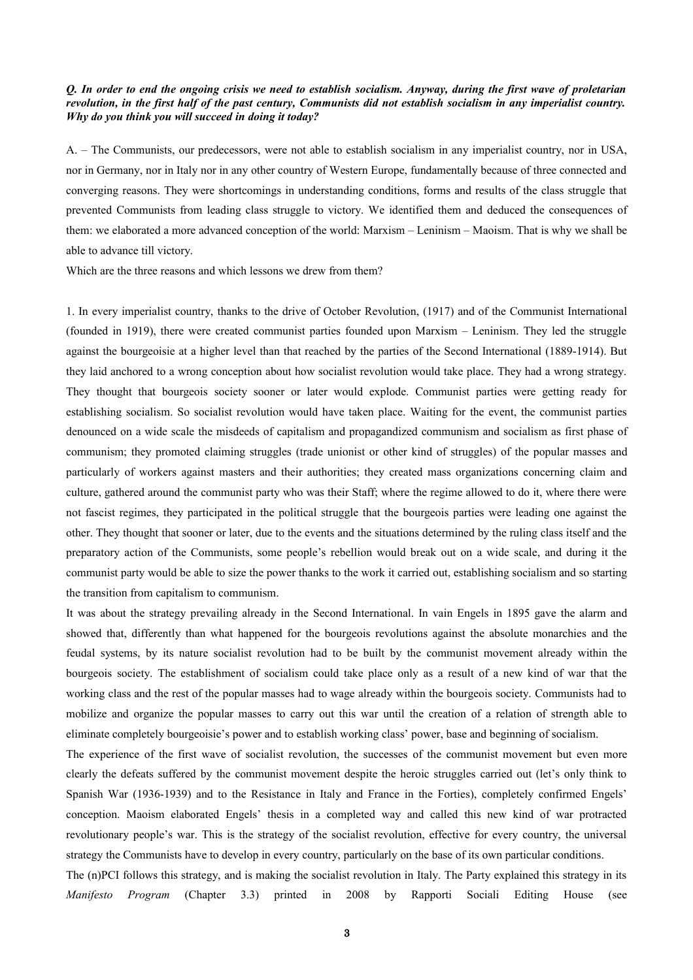#### *Q. In order to end the ongoing crisis we need to establish socialism. Anyway, during the first wave of proletarian revolution, in the first half of the past century, Communists did not establish socialism in any imperialist country. Why do you think you will succeed in doing it today?*

A. – The Communists, our predecessors, were not able to establish socialism in any imperialist country, nor in USA, nor in Germany, nor in Italy nor in any other country of Western Europe, fundamentally because of three connected and converging reasons. They were shortcomings in understanding conditions, forms and results of the class struggle that prevented Communists from leading class struggle to victory. We identified them and deduced the consequences of them: we elaborated a more advanced conception of the world: Marxism – Leninism – Maoism. That is why we shall be able to advance till victory.

Which are the three reasons and which lessons we drew from them?

1. In every imperialist country, thanks to the drive of October Revolution, (1917) and of the Communist International (founded in 1919), there were created communist parties founded upon Marxism – Leninism. They led the struggle against the bourgeoisie at a higher level than that reached by the parties of the Second International (1889-1914). But they laid anchored to a wrong conception about how socialist revolution would take place. They had a wrong strategy. They thought that bourgeois society sooner or later would explode. Communist parties were getting ready for establishing socialism. So socialist revolution would have taken place. Waiting for the event, the communist parties denounced on a wide scale the misdeeds of capitalism and propagandized communism and socialism as first phase of communism; they promoted claiming struggles (trade unionist or other kind of struggles) of the popular masses and particularly of workers against masters and their authorities; they created mass organizations concerning claim and culture, gathered around the communist party who was their Staff; where the regime allowed to do it, where there were not fascist regimes, they participated in the political struggle that the bourgeois parties were leading one against the other. They thought that sooner or later, due to the events and the situations determined by the ruling class itself and the preparatory action of the Communists, some people's rebellion would break out on a wide scale, and during it the communist party would be able to size the power thanks to the work it carried out, establishing socialism and so starting the transition from capitalism to communism.

It was about the strategy prevailing already in the Second International. In vain Engels in 1895 gave the alarm and showed that, differently than what happened for the bourgeois revolutions against the absolute monarchies and the feudal systems, by its nature socialist revolution had to be built by the communist movement already within the bourgeois society. The establishment of socialism could take place only as a result of a new kind of war that the working class and the rest of the popular masses had to wage already within the bourgeois society. Communists had to mobilize and organize the popular masses to carry out this war until the creation of a relation of strength able to eliminate completely bourgeoisie's power and to establish working class' power, base and beginning of socialism.

The experience of the first wave of socialist revolution, the successes of the communist movement but even more clearly the defeats suffered by the communist movement despite the heroic struggles carried out (let's only think to Spanish War (1936-1939) and to the Resistance in Italy and France in the Forties), completely confirmed Engels' conception. Maoism elaborated Engels' thesis in a completed way and called this new kind of war protracted revolutionary people's war. This is the strategy of the socialist revolution, effective for every country, the universal strategy the Communists have to develop in every country, particularly on the base of its own particular conditions.

The (n)PCI follows this strategy, and is making the socialist revolution in Italy. The Party explained this strategy in its *Manifesto Program* (Chapter 3.3) printed in 2008 by Rapporti Sociali Editing House (see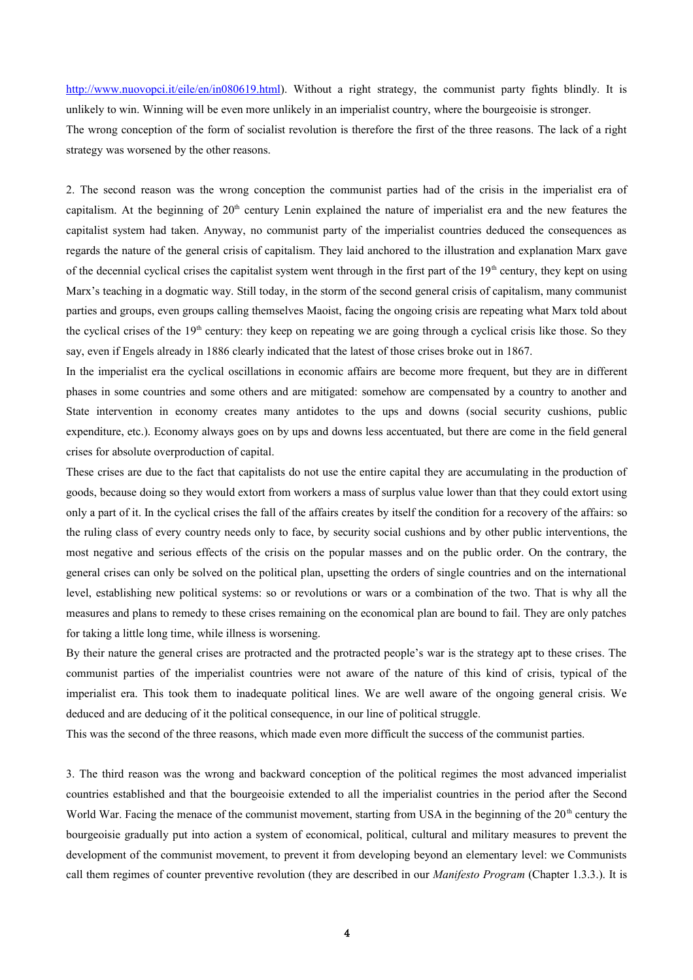[http://www.nuovopci.it/eile/en/in080619.html\)](http://www.nuovopci.it/eile/en/in080619.html). Without a right strategy, the communist party fights blindly. It is unlikely to win. Winning will be even more unlikely in an imperialist country, where the bourgeoisie is stronger. The wrong conception of the form of socialist revolution is therefore the first of the three reasons. The lack of a right strategy was worsened by the other reasons.

2. The second reason was the wrong conception the communist parties had of the crisis in the imperialist era of capitalism. At the beginning of  $20<sup>th</sup>$  century Lenin explained the nature of imperialist era and the new features the capitalist system had taken. Anyway, no communist party of the imperialist countries deduced the consequences as regards the nature of the general crisis of capitalism. They laid anchored to the illustration and explanation Marx gave of the decennial cyclical crises the capitalist system went through in the first part of the  $19<sup>th</sup>$  century, they kept on using Marx's teaching in a dogmatic way. Still today, in the storm of the second general crisis of capitalism, many communist parties and groups, even groups calling themselves Maoist, facing the ongoing crisis are repeating what Marx told about the cyclical crises of the 19<sup>th</sup> century: they keep on repeating we are going through a cyclical crisis like those. So they say, even if Engels already in 1886 clearly indicated that the latest of those crises broke out in 1867.

In the imperialist era the cyclical oscillations in economic affairs are become more frequent, but they are in different phases in some countries and some others and are mitigated: somehow are compensated by a country to another and State intervention in economy creates many antidotes to the ups and downs (social security cushions, public expenditure, etc.). Economy always goes on by ups and downs less accentuated, but there are come in the field general crises for absolute overproduction of capital.

These crises are due to the fact that capitalists do not use the entire capital they are accumulating in the production of goods, because doing so they would extort from workers a mass of surplus value lower than that they could extort using only a part of it. In the cyclical crises the fall of the affairs creates by itself the condition for a recovery of the affairs: so the ruling class of every country needs only to face, by security social cushions and by other public interventions, the most negative and serious effects of the crisis on the popular masses and on the public order. On the contrary, the general crises can only be solved on the political plan, upsetting the orders of single countries and on the international level, establishing new political systems: so or revolutions or wars or a combination of the two. That is why all the measures and plans to remedy to these crises remaining on the economical plan are bound to fail. They are only patches for taking a little long time, while illness is worsening.

By their nature the general crises are protracted and the protracted people's war is the strategy apt to these crises. The communist parties of the imperialist countries were not aware of the nature of this kind of crisis, typical of the imperialist era. This took them to inadequate political lines. We are well aware of the ongoing general crisis. We deduced and are deducing of it the political consequence, in our line of political struggle.

This was the second of the three reasons, which made even more difficult the success of the communist parties.

3. The third reason was the wrong and backward conception of the political regimes the most advanced imperialist countries established and that the bourgeoisie extended to all the imperialist countries in the period after the Second World War. Facing the menace of the communist movement, starting from USA in the beginning of the  $20<sup>th</sup>$  century the bourgeoisie gradually put into action a system of economical, political, cultural and military measures to prevent the development of the communist movement, to prevent it from developing beyond an elementary level: we Communists call them regimes of counter preventive revolution (they are described in our *Manifesto Program* (Chapter 1.3.3.). It is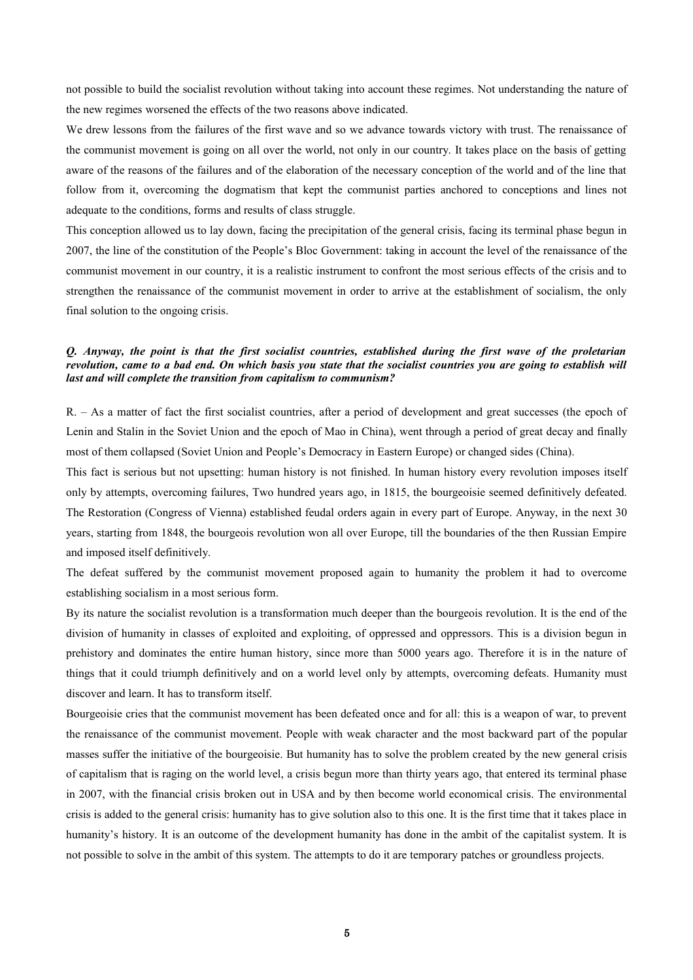not possible to build the socialist revolution without taking into account these regimes. Not understanding the nature of the new regimes worsened the effects of the two reasons above indicated.

We drew lessons from the failures of the first wave and so we advance towards victory with trust. The renaissance of the communist movement is going on all over the world, not only in our country. It takes place on the basis of getting aware of the reasons of the failures and of the elaboration of the necessary conception of the world and of the line that follow from it, overcoming the dogmatism that kept the communist parties anchored to conceptions and lines not adequate to the conditions, forms and results of class struggle.

This conception allowed us to lay down, facing the precipitation of the general crisis, facing its terminal phase begun in 2007, the line of the constitution of the People's Bloc Government: taking in account the level of the renaissance of the communist movement in our country, it is a realistic instrument to confront the most serious effects of the crisis and to strengthen the renaissance of the communist movement in order to arrive at the establishment of socialism, the only final solution to the ongoing crisis.

#### *Q. Anyway, the point is that the first socialist countries, established during the first wave of the proletarian revolution, came to a bad end. On which basis you state that the socialist countries you are going to establish will last and will complete the transition from capitalism to communism?*

R. – As a matter of fact the first socialist countries, after a period of development and great successes (the epoch of Lenin and Stalin in the Soviet Union and the epoch of Mao in China), went through a period of great decay and finally most of them collapsed (Soviet Union and People's Democracy in Eastern Europe) or changed sides (China).

This fact is serious but not upsetting: human history is not finished. In human history every revolution imposes itself only by attempts, overcoming failures, Two hundred years ago, in 1815, the bourgeoisie seemed definitively defeated. The Restoration (Congress of Vienna) established feudal orders again in every part of Europe. Anyway, in the next 30 years, starting from 1848, the bourgeois revolution won all over Europe, till the boundaries of the then Russian Empire and imposed itself definitively.

The defeat suffered by the communist movement proposed again to humanity the problem it had to overcome establishing socialism in a most serious form.

By its nature the socialist revolution is a transformation much deeper than the bourgeois revolution. It is the end of the division of humanity in classes of exploited and exploiting, of oppressed and oppressors. This is a division begun in prehistory and dominates the entire human history, since more than 5000 years ago. Therefore it is in the nature of things that it could triumph definitively and on a world level only by attempts, overcoming defeats. Humanity must discover and learn. It has to transform itself.

Bourgeoisie cries that the communist movement has been defeated once and for all: this is a weapon of war, to prevent the renaissance of the communist movement. People with weak character and the most backward part of the popular masses suffer the initiative of the bourgeoisie. But humanity has to solve the problem created by the new general crisis of capitalism that is raging on the world level, a crisis begun more than thirty years ago, that entered its terminal phase in 2007, with the financial crisis broken out in USA and by then become world economical crisis. The environmental crisis is added to the general crisis: humanity has to give solution also to this one. It is the first time that it takes place in humanity's history. It is an outcome of the development humanity has done in the ambit of the capitalist system. It is not possible to solve in the ambit of this system. The attempts to do it are temporary patches or groundless projects.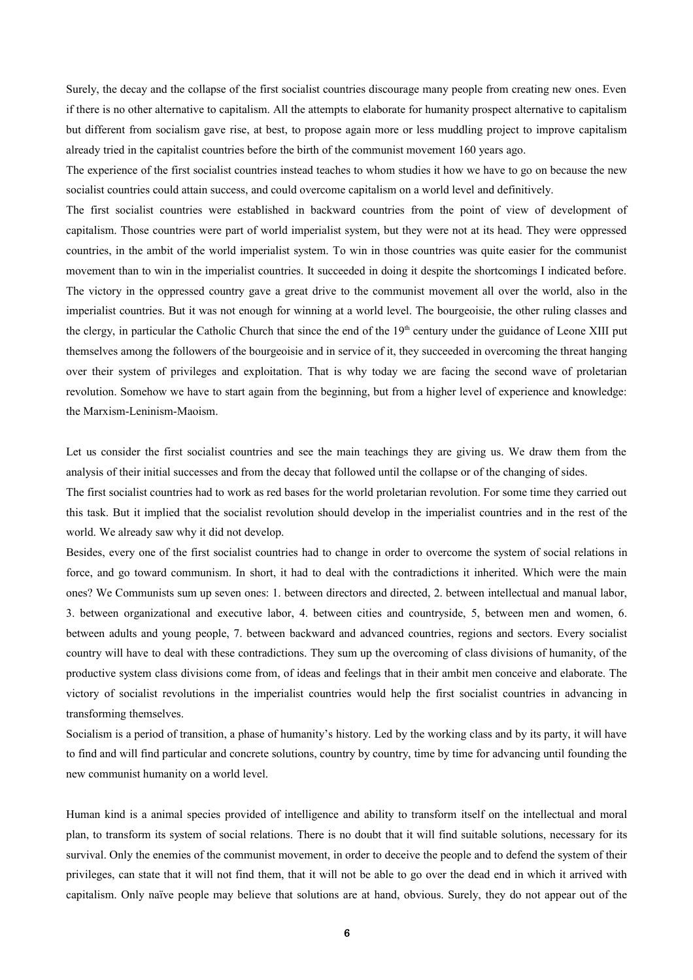Surely, the decay and the collapse of the first socialist countries discourage many people from creating new ones. Even if there is no other alternative to capitalism. All the attempts to elaborate for humanity prospect alternative to capitalism but different from socialism gave rise, at best, to propose again more or less muddling project to improve capitalism already tried in the capitalist countries before the birth of the communist movement 160 years ago.

The experience of the first socialist countries instead teaches to whom studies it how we have to go on because the new socialist countries could attain success, and could overcome capitalism on a world level and definitively.

The first socialist countries were established in backward countries from the point of view of development of capitalism. Those countries were part of world imperialist system, but they were not at its head. They were oppressed countries, in the ambit of the world imperialist system. To win in those countries was quite easier for the communist movement than to win in the imperialist countries. It succeeded in doing it despite the shortcomings I indicated before. The victory in the oppressed country gave a great drive to the communist movement all over the world, also in the imperialist countries. But it was not enough for winning at a world level. The bourgeoisie, the other ruling classes and the clergy, in particular the Catholic Church that since the end of the 19<sup>th</sup> century under the guidance of Leone XIII put themselves among the followers of the bourgeoisie and in service of it, they succeeded in overcoming the threat hanging over their system of privileges and exploitation. That is why today we are facing the second wave of proletarian revolution. Somehow we have to start again from the beginning, but from a higher level of experience and knowledge: the Marxism-Leninism-Maoism.

Let us consider the first socialist countries and see the main teachings they are giving us. We draw them from the analysis of their initial successes and from the decay that followed until the collapse or of the changing of sides.

The first socialist countries had to work as red bases for the world proletarian revolution. For some time they carried out this task. But it implied that the socialist revolution should develop in the imperialist countries and in the rest of the world. We already saw why it did not develop.

Besides, every one of the first socialist countries had to change in order to overcome the system of social relations in force, and go toward communism. In short, it had to deal with the contradictions it inherited. Which were the main ones? We Communists sum up seven ones: 1. between directors and directed, 2. between intellectual and manual labor, 3. between organizational and executive labor, 4. between cities and countryside, 5, between men and women, 6. between adults and young people, 7. between backward and advanced countries, regions and sectors. Every socialist country will have to deal with these contradictions. They sum up the overcoming of class divisions of humanity, of the productive system class divisions come from, of ideas and feelings that in their ambit men conceive and elaborate. The victory of socialist revolutions in the imperialist countries would help the first socialist countries in advancing in transforming themselves.

Socialism is a period of transition, a phase of humanity's history. Led by the working class and by its party, it will have to find and will find particular and concrete solutions, country by country, time by time for advancing until founding the new communist humanity on a world level.

Human kind is a animal species provided of intelligence and ability to transform itself on the intellectual and moral plan, to transform its system of social relations. There is no doubt that it will find suitable solutions, necessary for its survival. Only the enemies of the communist movement, in order to deceive the people and to defend the system of their privileges, can state that it will not find them, that it will not be able to go over the dead end in which it arrived with capitalism. Only naïve people may believe that solutions are at hand, obvious. Surely, they do not appear out of the